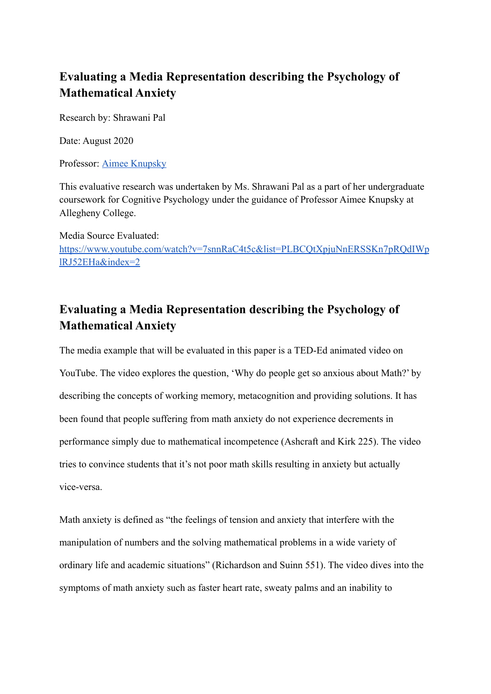## **Evaluating a Media Representation describing the Psychology of Mathematical Anxiety**

Research by: Shrawani Pal

Date: August 2020

Professor: [Aimee Knupsky](https://sites.allegheny.edu/psych/faculty/aimee-knupsky/)

This evaluative research was undertaken by Ms. Shrawani Pal as a part of her undergraduate coursework for Cognitive Psychology under the guidance of Professor Aimee Knupsky at Allegheny College.

Media Source Evaluated: <https://www.youtube.com/watch?v=7snnRaC4t5c&list=PLBCQtXpjuNnERSSKn7pRQdIWp> [lRJ52EHa&index=2](https://www.youtube.com/watch?v=7snnRaC4t5c&list=PLBCQtXpjuNnERSSKn7pRQdIWp)

## **Evaluating a Media Representation describing the Psychology of Mathematical Anxiety**

The media example that will be evaluated in this paper is a TED-Ed animated video on YouTube. The video explores the question, 'Why do people get so anxious about Math?' by describing the concepts of working memory, metacognition and providing solutions. It has been found that people suffering from math anxiety do not experience decrements in performance simply due to mathematical incompetence (Ashcraft and Kirk 225). The video tries to convince students that it's not poor math skills resulting in anxiety but actually vice-versa.

Math anxiety is defined as "the feelings of tension and anxiety that interfere with the manipulation of numbers and the solving mathematical problems in a wide variety of ordinary life and academic situations" (Richardson and Suinn 551). The video dives into the symptoms of math anxiety such as faster heart rate, sweaty palms and an inability to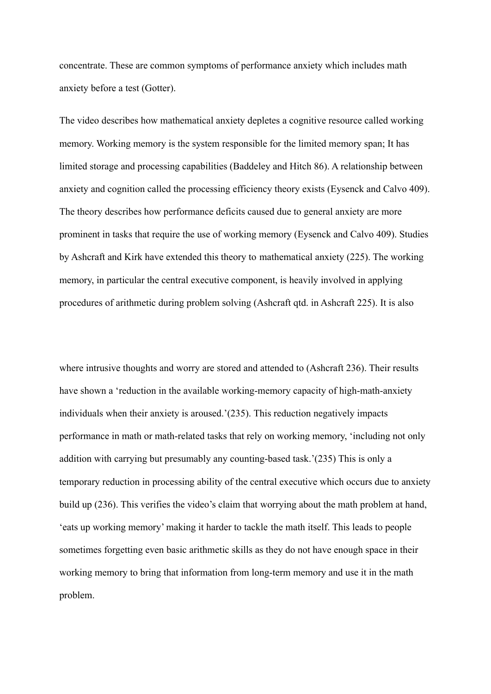concentrate. These are common symptoms of performance anxiety which includes math anxiety before a test (Gotter).

The video describes how mathematical anxiety depletes a cognitive resource called working memory. Working memory is the system responsible for the limited memory span; It has limited storage and processing capabilities (Baddeley and Hitch 86). A relationship between anxiety and cognition called the processing efficiency theory exists (Eysenck and Calvo 409). The theory describes how performance deficits caused due to general anxiety are more prominent in tasks that require the use of working memory (Eysenck and Calvo 409). Studies by Ashcraft and Kirk have extended this theory to mathematical anxiety (225). The working memory, in particular the central executive component, is heavily involved in applying procedures of arithmetic during problem solving (Ashcraft qtd. in Ashcraft 225). It is also

where intrusive thoughts and worry are stored and attended to (Ashcraft 236). Their results have shown a 'reduction in the available working-memory capacity of high-math-anxiety individuals when their anxiety is aroused.'(235). This reduction negatively impacts performance in math or math-related tasks that rely on working memory, 'including not only addition with carrying but presumably any counting-based task.'(235) This is only a temporary reduction in processing ability of the central executive which occurs due to anxiety build up (236). This verifies the video's claim that worrying about the math problem at hand, 'eats up working memory' making it harder to tackle the math itself. This leads to people sometimes forgetting even basic arithmetic skills as they do not have enough space in their working memory to bring that information from long-term memory and use it in the math problem.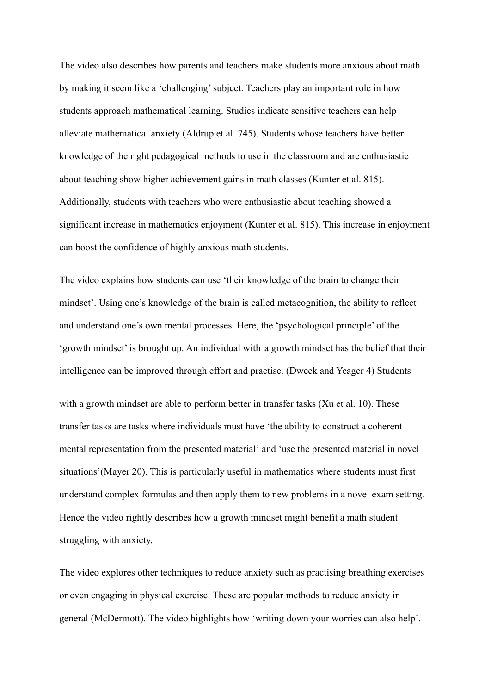The video also describes how parents and teachers make students more anxious about math by making it seem like a 'challenging' subject. Teachers play an important role in how students approach mathematical learning. Studies indicate sensitive teachers can help alleviate mathematical anxiety (Aldrup et al. 745). Students whose teachers have better knowledge of the right pedagogical methods to use in the classroom and are enthusiastic about teaching show higher achievement gains in math classes (Kunter et al. 815). Additionally, students with teachers who were enthusiastic about teaching showed a significant increase in mathematics enjoyment (Kunter et al. 815). This increase in enjoyment can boost the confidence of highly anxious math students.

The video explains how students can use 'their knowledge of the brain to change their mindset'. Using one's knowledge of the brain is called metacognition, the ability to reflect and understand one's own mental processes. Here, the 'psychological principle' of the 'growth mindset' is brought up. An individual with a growth mindset has the belief that their intelligence can be improved through effort and practise. (Dweck and Yeager 4) Students

with a growth mindset are able to perform better in transfer tasks (Xu et al. 10). These transfer tasks are tasks where individuals must have 'the ability to construct a coherent mental representation from the presented material' and 'use the presented material in novel situations'(Mayer 20). This is particularly useful in mathematics where students must first understand complex formulas and then apply them to new problems in a novel exam setting. Hence the video rightly describes how a growth mindset might benefit a math student struggling with anxiety.

The video explores other techniques to reduce anxiety such as practising breathing exercises or even engaging in physical exercise. These are popular methods to reduce anxiety in general (McDermott). The video highlights how 'writing down your worries can also help'.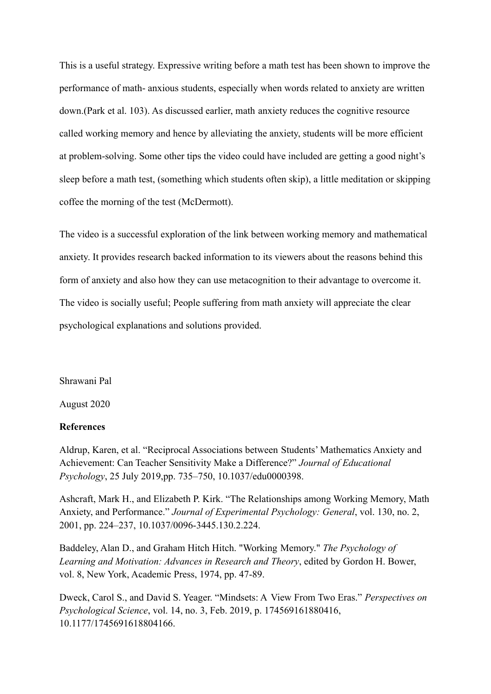This is a useful strategy. Expressive writing before a math test has been shown to improve the performance of math- anxious students, especially when words related to anxiety are written down.(Park et al. 103). As discussed earlier, math anxiety reduces the cognitive resource called working memory and hence by alleviating the anxiety, students will be more efficient at problem-solving. Some other tips the video could have included are getting a good night's sleep before a math test, (something which students often skip), a little meditation or skipping coffee the morning of the test (McDermott).

The video is a successful exploration of the link between working memory and mathematical anxiety. It provides research backed information to its viewers about the reasons behind this form of anxiety and also how they can use metacognition to their advantage to overcome it. The video is socially useful; People suffering from math anxiety will appreciate the clear psychological explanations and solutions provided.

Shrawani Pal

August 2020

## **References**

Aldrup, Karen, et al. "Reciprocal Associations between Students' Mathematics Anxiety and Achievement: Can Teacher Sensitivity Make a Difference?" *Journal of Educational Psychology*, 25 July 2019,pp. 735–750, 10.1037/edu0000398.

Ashcraft, Mark H., and Elizabeth P. Kirk. "The Relationships among Working Memory, Math Anxiety, and Performance." *Journal of Experimental Psychology: General*, vol. 130, no. 2, 2001, pp. 224–237, 10.1037/0096-3445.130.2.224.

Baddeley, Alan D., and Graham Hitch Hitch. "Working Memory." *The Psychology of Learning and Motivation: Advances in Research and Theory*, edited by Gordon H. Bower, vol. 8, New York, Academic Press, 1974, pp. 47-89.

Dweck, Carol S., and David S. Yeager. "Mindsets: A View From Two Eras." *Perspectives on Psychological Science*, vol. 14, no. 3, Feb. 2019, p. 174569161880416, 10.1177/1745691618804166.